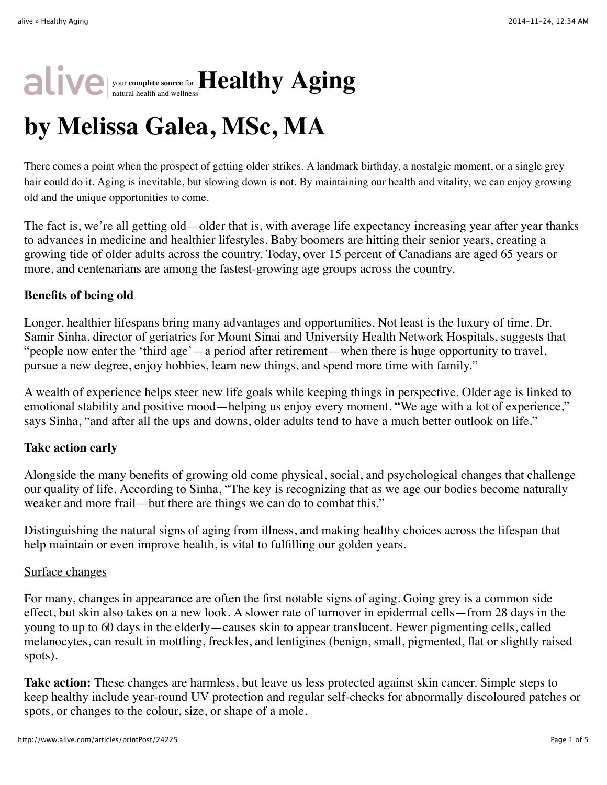## your **complete source** for natural health and wellness**Healthy Aging**

# **by Melissa Galea, MSc, MA**

There comes a point when the prospect of getting older strikes. A landmark birthday, a nostalgic moment, or a single grey hair could do it. Aging is inevitable, but slowing down is not. By maintaining our health and vitality, we can enjoy growing old and the unique opportunities to come.

The fact is, we're all getting old—older that is, with average life expectancy increasing year after year thanks to advances in medicine and healthier lifestyles. Baby boomers are hitting their senior years, creating a growing tide of older adults across the country. Today, over 15 percent of Canadians are aged 65 years or more, and centenarians are among the fastest-growing age groups across the country.

#### **Benefits of being old**

Longer, healthier lifespans bring many advantages and opportunities. Not least is the luxury of time. Dr. Samir Sinha, director of geriatrics for Mount Sinai and University Health Network Hospitals, suggests that "people now enter the 'third age'—a period after retirement—when there is huge opportunity to travel, pursue a new degree, enjoy hobbies, learn new things, and spend more time with family."

A wealth of experience helps steer new life goals while keeping things in perspective. Older age is linked to emotional stability and positive mood—helping us enjoy every moment. "We age with a lot of experience," says Sinha, "and after all the ups and downs, older adults tend to have a much better outlook on life."

#### **Take action early**

Alongside the many benefits of growing old come physical, social, and psychological changes that challenge our quality of life. According to Sinha, "The key is recognizing that as we age our bodies become naturally weaker and more frail—but there are things we can do to combat this."

Distinguishing the natural signs of aging from illness, and making healthy choices across the lifespan that help maintain or even improve health, is vital to fulfilling our golden years.

#### Surface changes

For many, changes in appearance are often the first notable signs of aging. Going grey is a common side effect, but skin also takes on a new look. A slower rate of turnover in epidermal cells—from 28 days in the young to up to 60 days in the elderly—causes skin to appear translucent. Fewer pigmenting cells, called melanocytes, can result in mottling, freckles, and lentigines (benign, small, pigmented, flat or slightly raised spots).

**Take action:** These changes are harmless, but leave us less protected against skin cancer. Simple steps to keep healthy include year-round UV protection and regular self-checks for abnormally discoloured patches or spots, or changes to the colour, size, or shape of a mole.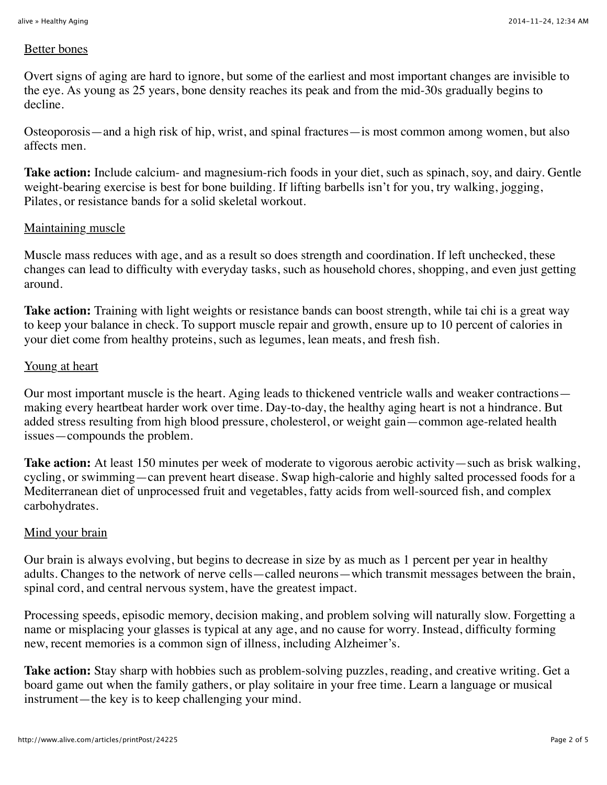#### Better bones

Overt signs of aging are hard to ignore, but some of the earliest and most important changes are invisible to the eye. As young as 25 years, bone density reaches its peak and from the mid-30s gradually begins to decline.

Osteoporosis—and a high risk of hip, wrist, and spinal fractures—is most common among women, but also affects men.

**Take action:** Include calcium- and magnesium-rich foods in your diet, such as spinach, soy, and dairy. Gentle weight-bearing exercise is best for bone building. If lifting barbells isn't for you, try walking, jogging, Pilates, or resistance bands for a solid skeletal workout.

#### Maintaining muscle

Muscle mass reduces with age, and as a result so does strength and coordination. If left unchecked, these changes can lead to difficulty with everyday tasks, such as household chores, shopping, and even just getting around.

**Take action:** Training with light weights or resistance bands can boost strength, while tai chi is a great way to keep your balance in check. To support muscle repair and growth, ensure up to 10 percent of calories in your diet come from healthy proteins, such as legumes, lean meats, and fresh fish.

#### Young at heart

Our most important muscle is the heart. Aging leads to thickened ventricle walls and weaker contractions making every heartbeat harder work over time. Day-to-day, the healthy aging heart is not a hindrance. But added stress resulting from high blood pressure, cholesterol, or weight gain—common age-related health issues—compounds the problem.

**Take action:** At least 150 minutes per week of moderate to vigorous aerobic activity—such as brisk walking, cycling, or swimming—can prevent heart disease. Swap high-calorie and highly salted processed foods for a Mediterranean diet of unprocessed fruit and vegetables, fatty acids from well-sourced fish, and complex carbohydrates.

#### Mind your brain

Our brain is always evolving, but begins to decrease in size by as much as 1 percent per year in healthy adults. Changes to the network of nerve cells—called neurons—which transmit messages between the brain, spinal cord, and central nervous system, have the greatest impact.

Processing speeds, episodic memory, decision making, and problem solving will naturally slow. Forgetting a name or misplacing your glasses is typical at any age, and no cause for worry. Instead, difficulty forming new, recent memories is a common sign of illness, including Alzheimer's.

**Take action:** Stay sharp with hobbies such as problem-solving puzzles, reading, and creative writing. Get a board game out when the family gathers, or play solitaire in your free time. Learn a language or musical instrument—the key is to keep challenging your mind.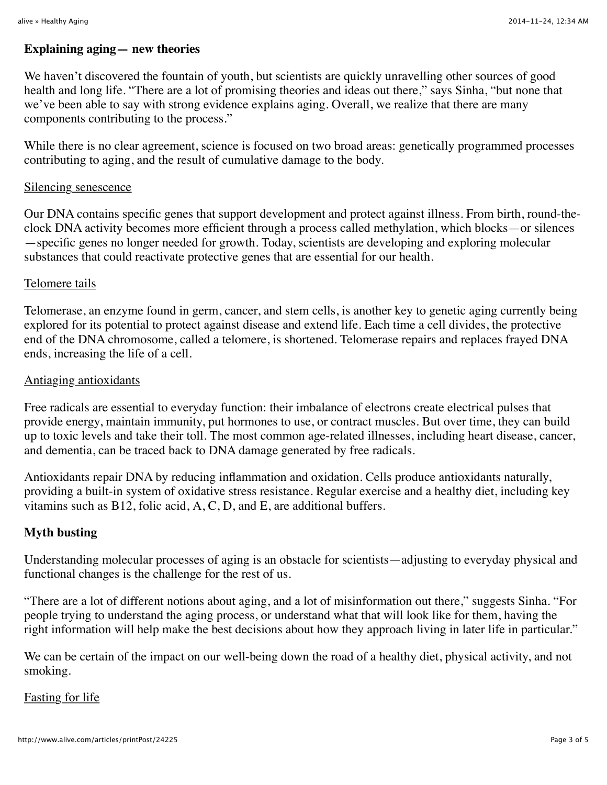#### **Explaining aging— new theories**

We haven't discovered the fountain of youth, but scientists are quickly unravelling other sources of good health and long life. "There are a lot of promising theories and ideas out there," says Sinha, "but none that we've been able to say with strong evidence explains aging. Overall, we realize that there are many components contributing to the process."

While there is no clear agreement, science is focused on two broad areas: genetically programmed processes contributing to aging, and the result of cumulative damage to the body.

#### Silencing senescence

Our DNA contains specific genes that support development and protect against illness. From birth, round-theclock DNA activity becomes more efficient through a process called methylation, which blocks—or silences —specific genes no longer needed for growth. Today, scientists are developing and exploring molecular substances that could reactivate protective genes that are essential for our health.

#### Telomere tails

Telomerase, an enzyme found in germ, cancer, and stem cells, is another key to genetic aging currently being explored for its potential to protect against disease and extend life. Each time a cell divides, the protective end of the DNA chromosome, called a telomere, is shortened. Telomerase repairs and replaces frayed DNA ends, increasing the life of a cell.

#### Antiaging antioxidants

Free radicals are essential to everyday function: their imbalance of electrons create electrical pulses that provide energy, maintain immunity, put hormones to use, or contract muscles. But over time, they can build up to toxic levels and take their toll. The most common age-related illnesses, including heart disease, cancer, and dementia, can be traced back to DNA damage generated by free radicals.

Antioxidants repair DNA by reducing inflammation and oxidation. Cells produce antioxidants naturally, providing a built-in system of oxidative stress resistance. Regular exercise and a healthy diet, including key vitamins such as  $B12$ , folic acid, A, C, D, and E, are additional buffers.

#### **Myth busting**

Understanding molecular processes of aging is an obstacle for scientists—adjusting to everyday physical and functional changes is the challenge for the rest of us.

"There are a lot of different notions about aging, and a lot of misinformation out there," suggests Sinha. "For people trying to understand the aging process, or understand what that will look like for them, having the right information will help make the best decisions about how they approach living in later life in particular."

We can be certain of the impact on our well-being down the road of a healthy diet, physical activity, and not smoking.

#### Fasting for life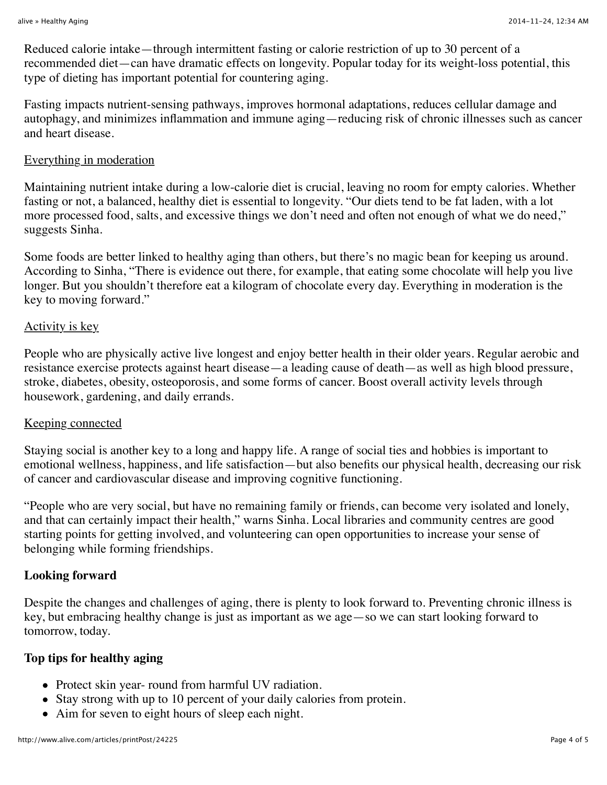Reduced calorie intake—through intermittent fasting or calorie restriction of up to 30 percent of a recommended diet—can have dramatic effects on longevity. Popular today for its weight-loss potential, this type of dieting has important potential for countering aging.

Fasting impacts nutrient-sensing pathways, improves hormonal adaptations, reduces cellular damage and autophagy, and minimizes inflammation and immune aging—reducing risk of chronic illnesses such as cancer and heart disease.

#### Everything in moderation

Maintaining nutrient intake during a low-calorie diet is crucial, leaving no room for empty calories. Whether fasting or not, a balanced, healthy diet is essential to longevity. "Our diets tend to be fat laden, with a lot more processed food, salts, and excessive things we don't need and often not enough of what we do need," suggests Sinha.

Some foods are better linked to healthy aging than others, but there's no magic bean for keeping us around. According to Sinha, "There is evidence out there, for example, that eating some chocolate will help you live longer. But you shouldn't therefore eat a kilogram of chocolate every day. Everything in moderation is the key to moving forward."

#### Activity is key

People who are physically active live longest and enjoy better health in their older years. Regular aerobic and resistance exercise protects against heart disease—a leading cause of death—as well as high blood pressure, stroke, diabetes, obesity, osteoporosis, and some forms of cancer. Boost overall activity levels through housework, gardening, and daily errands.

#### Keeping connected

Staying social is another key to a long and happy life. A range of social ties and hobbies is important to emotional wellness, happiness, and life satisfaction—but also benefits our physical health, decreasing our risk of cancer and cardiovascular disease and improving cognitive functioning.

"People who are very social, but have no remaining family or friends, can become very isolated and lonely, and that can certainly impact their health," warns Sinha. Local libraries and community centres are good starting points for getting involved, and volunteering can open opportunities to increase your sense of belonging while forming friendships.

#### **Looking forward**

Despite the changes and challenges of aging, there is plenty to look forward to. Preventing chronic illness is key, but embracing healthy change is just as important as we age—so we can start looking forward to tomorrow, today.

#### **Top tips for healthy aging**

- Protect skin year- round from harmful UV radiation.
- Stay strong with up to 10 percent of your daily calories from protein.
- Aim for seven to eight hours of sleep each night.